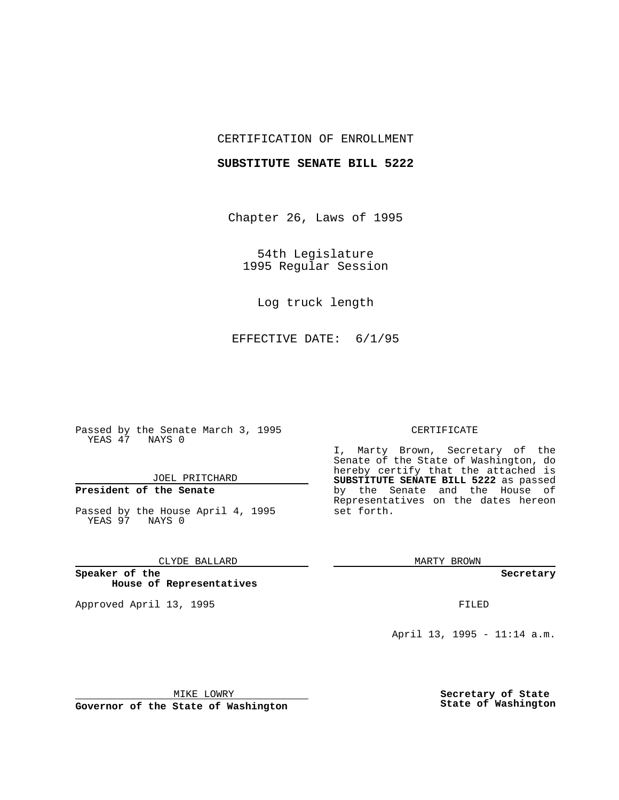## CERTIFICATION OF ENROLLMENT

## **SUBSTITUTE SENATE BILL 5222**

Chapter 26, Laws of 1995

54th Legislature 1995 Regular Session

Log truck length

EFFECTIVE DATE: 6/1/95

Passed by the Senate March 3, 1995 YEAS 47 NAYS 0

JOEL PRITCHARD

# **President of the Senate**

Passed by the House April 4, 1995 YEAS 97 NAYS 0

CLYDE BALLARD

**Speaker of the House of Representatives**

Approved April 13, 1995 FILED

#### CERTIFICATE

I, Marty Brown, Secretary of the Senate of the State of Washington, do hereby certify that the attached is **SUBSTITUTE SENATE BILL 5222** as passed by the Senate and the House of Representatives on the dates hereon set forth.

MARTY BROWN

**Secretary**

April 13, 1995 - 11:14 a.m.

MIKE LOWRY

**Governor of the State of Washington**

**Secretary of State State of Washington**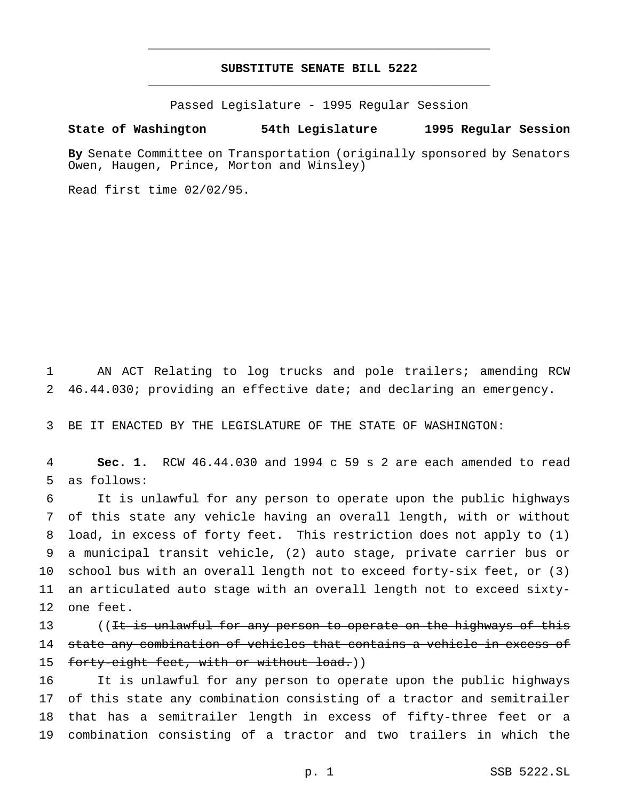## **SUBSTITUTE SENATE BILL 5222** \_\_\_\_\_\_\_\_\_\_\_\_\_\_\_\_\_\_\_\_\_\_\_\_\_\_\_\_\_\_\_\_\_\_\_\_\_\_\_\_\_\_\_\_\_\_\_

\_\_\_\_\_\_\_\_\_\_\_\_\_\_\_\_\_\_\_\_\_\_\_\_\_\_\_\_\_\_\_\_\_\_\_\_\_\_\_\_\_\_\_\_\_\_\_

Passed Legislature - 1995 Regular Session

### **State of Washington 54th Legislature 1995 Regular Session**

**By** Senate Committee on Transportation (originally sponsored by Senators Owen, Haugen, Prince, Morton and Winsley)

Read first time 02/02/95.

1 AN ACT Relating to log trucks and pole trailers; amending RCW 2 46.44.030; providing an effective date; and declaring an emergency.

3 BE IT ENACTED BY THE LEGISLATURE OF THE STATE OF WASHINGTON:

4 **Sec. 1.** RCW 46.44.030 and 1994 c 59 s 2 are each amended to read 5 as follows:

 It is unlawful for any person to operate upon the public highways of this state any vehicle having an overall length, with or without load, in excess of forty feet. This restriction does not apply to (1) a municipal transit vehicle, (2) auto stage, private carrier bus or school bus with an overall length not to exceed forty-six feet, or (3) an articulated auto stage with an overall length not to exceed sixty-one feet.

13 ((It is unlawful for any person to operate on the highways of this 14 state any combination of vehicles that contains a vehicle in excess of 15 forty-eight feet, with or without load.))

 It is unlawful for any person to operate upon the public highways of this state any combination consisting of a tractor and semitrailer that has a semitrailer length in excess of fifty-three feet or a combination consisting of a tractor and two trailers in which the